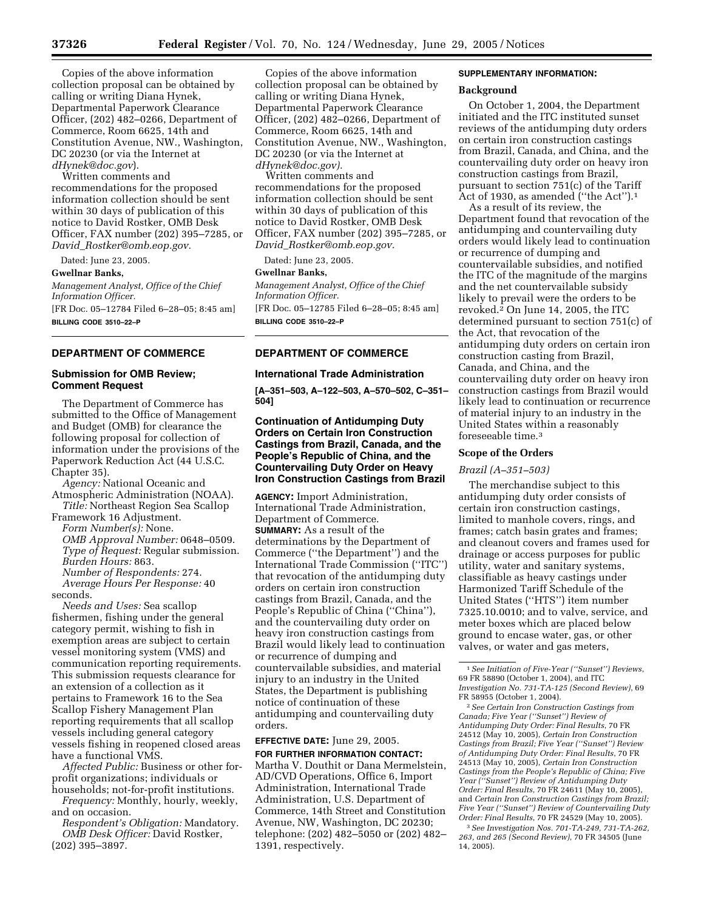Copies of the above information collection proposal can be obtained by calling or writing Diana Hynek, Departmental Paperwork Clearance Officer, (202) 482–0266, Department of Commerce, Room 6625, 14th and Constitution Avenue, NW., Washington, DC 20230 (or via the Internet at *dHynek@doc.gov*).

Written comments and recommendations for the proposed information collection should be sent within 30 days of publication of this notice to David Rostker, OMB Desk Officer, FAX number (202) 395–7285, or *David*\_*Rostker@omb.eop.gov.*

Dated: June 23, 2005.

**Gwellnar Banks,** 

*Management Analyst, Office of the Chief Information Officer.* [FR Doc. 05–12784 Filed 6–28–05; 8:45 am]

**BILLING CODE 3510–22–P**

# **DEPARTMENT OF COMMERCE**

# **Submission for OMB Review; Comment Request**

The Department of Commerce has submitted to the Office of Management and Budget (OMB) for clearance the following proposal for collection of information under the provisions of the Paperwork Reduction Act (44 U.S.C. Chapter 35).

*Agency:* National Oceanic and Atmospheric Administration (NOAA). *Title:* Northeast Region Sea Scallop

Framework 16 Adjustment. *Form Number(s):* None. *OMB Approval Number:* 0648–0509. *Type of Request:* Regular submission. *Burden Hours:* 863. *Number of Respondents:* 274. *Average Hours Per Response:* 40 seconds.

*Needs and Uses:* Sea scallop fishermen, fishing under the general category permit, wishing to fish in exemption areas are subject to certain vessel monitoring system (VMS) and communication reporting requirements. This submission requests clearance for an extension of a collection as it pertains to Framework 16 to the Sea Scallop Fishery Management Plan reporting requirements that all scallop vessels including general category vessels fishing in reopened closed areas have a functional VMS.

*Affected Public:* Business or other forprofit organizations; individuals or households; not-for-profit institutions.

*Frequency:* Monthly, hourly, weekly, and on occasion.

*Respondent's Obligation:* Mandatory. *OMB Desk Officer:* David Rostker, (202) 395–3897.

Copies of the above information collection proposal can be obtained by calling or writing Diana Hynek, Departmental Paperwork Clearance Officer, (202) 482–0266, Department of Commerce, Room 6625, 14th and Constitution Avenue, NW., Washington, DC 20230 (or via the Internet at *dHynek@doc.gov).*

Written comments and recommendations for the proposed information collection should be sent within 30 days of publication of this notice to David Rostker, OMB Desk Officer, FAX number (202) 395–7285, or *David*\_*Rostker@omb.eop.gov.*

Dated: June 23, 2005.

#### **Gwellnar Banks,**

*Management Analyst, Office of the Chief Information Officer.* [FR Doc. 05–12785 Filed 6–28–05; 8:45 am]

**BILLING CODE 3510–22–P**

# **DEPARTMENT OF COMMERCE**

# **International Trade Administration**

**[A–351–503, A–122–503, A–570–502, C–351– 504]**

# **Continuation of Antidumping Duty Orders on Certain Iron Construction Castings from Brazil, Canada, and the People's Republic of China, and the Countervailing Duty Order on Heavy Iron Construction Castings from Brazil**

**AGENCY:** Import Administration, International Trade Administration, Department of Commerce. **SUMMARY:** As a result of the determinations by the Department of Commerce (''the Department'') and the International Trade Commission (''ITC'') that revocation of the antidumping duty orders on certain iron construction castings from Brazil, Canada, and the People's Republic of China (''China''), and the countervailing duty order on heavy iron construction castings from Brazil would likely lead to continuation or recurrence of dumping and countervailable subsidies, and material injury to an industry in the United States, the Department is publishing notice of continuation of these antidumping and countervailing duty orders.

# **EFFECTIVE DATE:** June 29, 2005.

**FOR FURTHER INFORMATION CONTACT:** Martha V. Douthit or Dana Mermelstein, AD/CVD Operations, Office 6, Import Administration, International Trade Administration, U.S. Department of Commerce, 14th Street and Constitution Avenue, NW, Washington, DC 20230; telephone: (202) 482–5050 or (202) 482– 1391, respectively.

# **SUPPLEMENTARY INFORMATION:**

## **Background**

On October 1, 2004, the Department initiated and the ITC instituted sunset reviews of the antidumping duty orders on certain iron construction castings from Brazil, Canada, and China, and the countervailing duty order on heavy iron construction castings from Brazil, pursuant to section 751(c) of the Tariff Act of 1930, as amended (''the Act'').1

As a result of its review, the Department found that revocation of the antidumping and countervailing duty orders would likely lead to continuation or recurrence of dumping and countervailable subsidies, and notified the ITC of the magnitude of the margins and the net countervailable subsidy likely to prevail were the orders to be revoked. $2$  On June 14, 2005, the ITC determined pursuant to section 751(c) of the Act, that revocation of the antidumping duty orders on certain iron construction casting from Brazil, Canada, and China, and the countervailing duty order on heavy iron construction castings from Brazil would likely lead to continuation or recurrence of material injury to an industry in the United States within a reasonably foreseeable time.3

#### **Scope of the Orders**

# *Brazil (A–351–503)*

The merchandise subject to this antidumping duty order consists of certain iron construction castings, limited to manhole covers, rings, and frames; catch basin grates and frames; and cleanout covers and frames used for drainage or access purposes for public utility, water and sanitary systems, classifiable as heavy castings under Harmonized Tariff Schedule of the United States (''HTS'') item number 7325.10.0010; and to valve, service, and meter boxes which are placed below ground to encase water, gas, or other valves, or water and gas meters,

2*See Certain Iron Construction Castings from Canada; Five Year (''Sunset'') Review of Antidumping Duty Order: Final Results*, 70 FR 24512 (May 10, 2005), *Certain Iron Construction Castings from Brazil; Five Year (''Sunset'') Review of Antidumping Duty Order: Final Results*, 70 FR 24513 (May 10, 2005), *Certain Iron Construction Castings from the People's Republic of China; Five Year (''Sunset'') Review of Antidumping Duty Order: Final Results*, 70 FR 24611 (May 10, 2005), and *Certain Iron Construction Castings from Brazil; Five Year (''Sunset'') Review of Countervailing Duty Order: Final Results*, 70 FR 24529 (May 10, 2005).

3*See Investigation Nos. 701-TA-249, 731-TA-262, 263, and 265 (Second Review)*, 70 FR 34505 (June 14, 2005).

<sup>1</sup>*See Initiation of Five-Year (''Sunset'') Reviews*, 69 FR 58890 (October 1, 2004), and ITC *Investigation No. 731-TA-125 (Second Review)*, 69 FR 58955 (October 1, 2004).